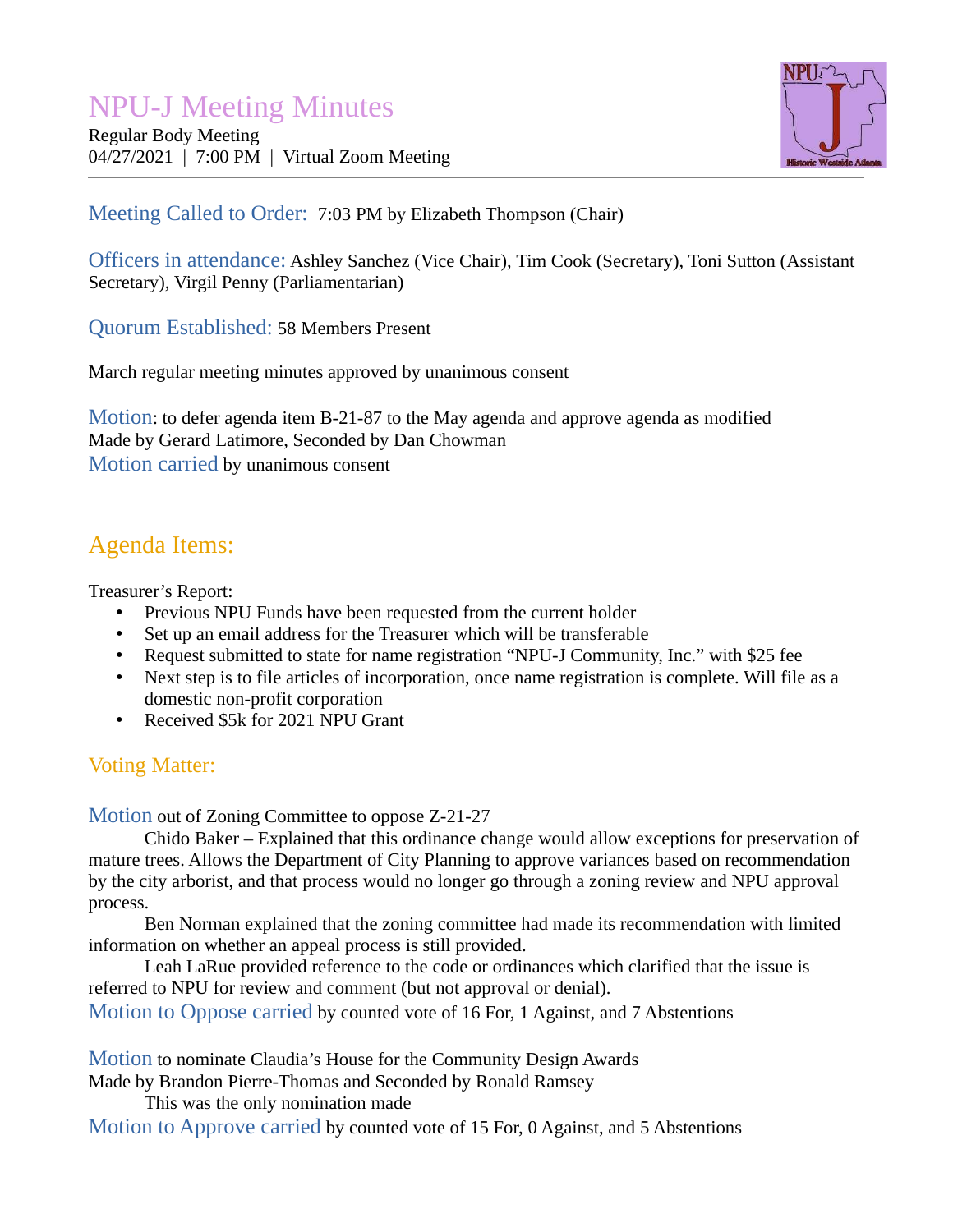# NPU-J Meeting Minutes

Regular Body Meeting 04/27/2021 | 7:00 PM | Virtual Zoom Meeting



Meeting Called to Order: 7:03 PM by Elizabeth Thompson (Chair)

Officers in attendance: Ashley Sanchez (Vice Chair), Tim Cook (Secretary), Toni Sutton (Assistant Secretary), Virgil Penny (Parliamentarian)

Quorum Established: 58 Members Present

March regular meeting minutes approved by unanimous consent

Motion: to defer agenda item B-21-87 to the May agenda and approve agenda as modified Made by Gerard Latimore, Seconded by Dan Chowman Motion carried by unanimous consent

# Agenda Items:

Treasurer's Report:

- Previous NPU Funds have been requested from the current holder
- Set up an email address for the Treasurer which will be transferable
- Request submitted to state for name registration "NPU-J Community, Inc." with \$25 fee
- Next step is to file articles of incorporation, once name registration is complete. Will file as a domestic non-profit corporation
- Received \$5k for 2021 NPU Grant

# Voting Matter:

Motion out of Zoning Committee to oppose Z-21-27

Chido Baker – Explained that this ordinance change would allow exceptions for preservation of mature trees. Allows the Department of City Planning to approve variances based on recommendation by the city arborist, and that process would no longer go through a zoning review and NPU approval process.

Ben Norman explained that the zoning committee had made its recommendation with limited information on whether an appeal process is still provided.

Leah LaRue provided reference to the code or ordinances which clarified that the issue is referred to NPU for review and comment (but not approval or denial). Motion to Oppose carried by counted vote of 16 For, 1 Against, and 7 Abstentions

Motion to nominate Claudia's House for the Community Design Awards

Made by Brandon Pierre-Thomas and Seconded by Ronald Ramsey

This was the only nomination made

Motion to Approve carried by counted vote of 15 For, 0 Against, and 5 Abstentions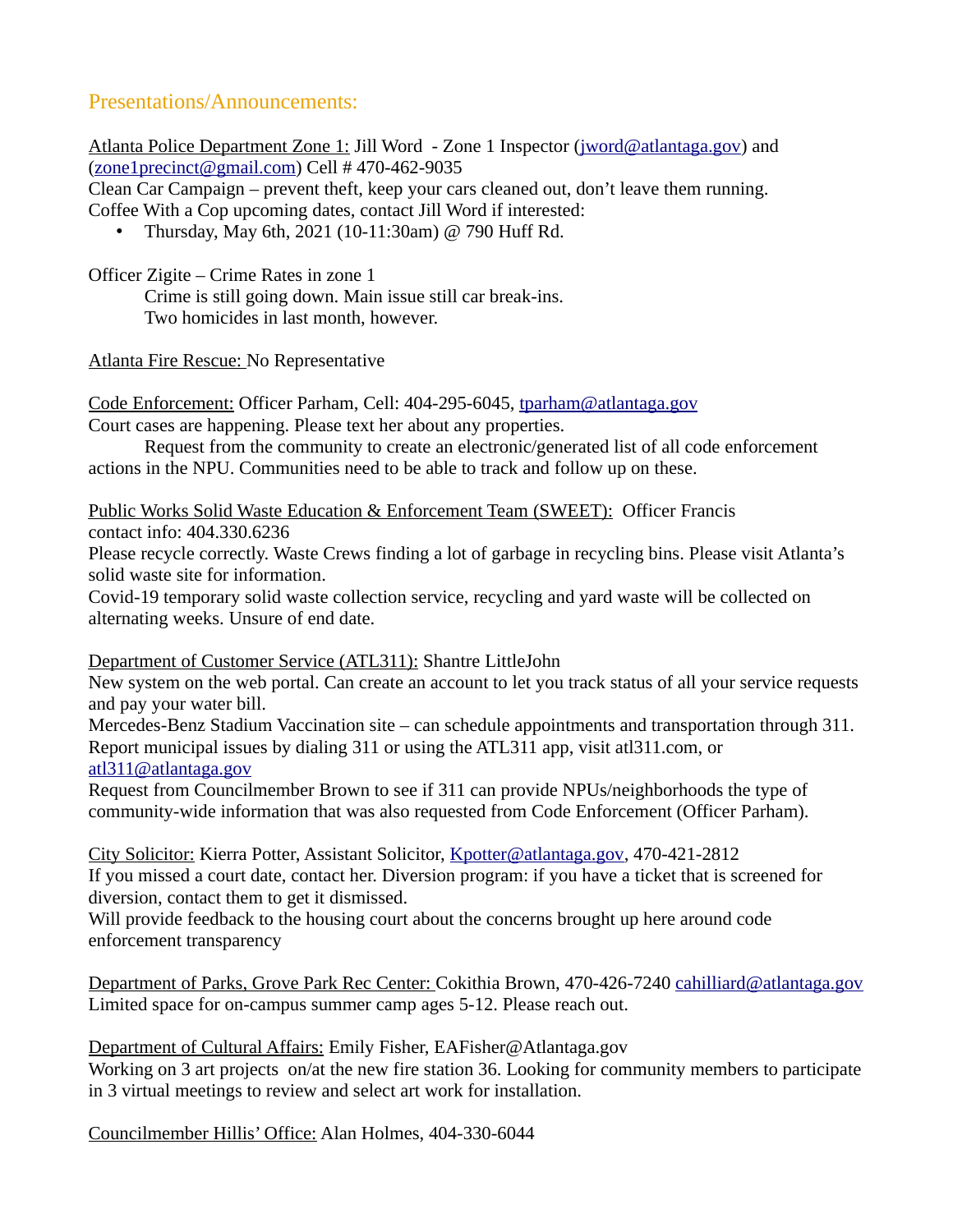## Presentations/Announcements:

Atlanta Police Department Zone 1: Jill Word - Zone 1 Inspector (*[jword@atlantaga.gov](mailto:jword@atlantaga.gov)*) and  $(zone1\textrm{precinct}(\n $\omega$ gmail.com) Cell # 470-462-9035$ 

Clean Car Campaign – prevent theft, keep your cars cleaned out, don't leave them running. Coffee With a Cop upcoming dates, contact Jill Word if interested:

• Thursday, May 6th, 2021 (10-11:30am) @ 790 Huff Rd.

Officer Zigite – Crime Rates in zone 1

Crime is still going down. Main issue still car break-ins. Two homicides in last month, however.

Atlanta Fire Rescue: No Representative

Code Enforcement: Officer Parham, Cell: 404-295-6045, [tparham@atlantaga.gov](mailto:tparham@atlantaga.gov) Court cases are happening. Please text her about any properties.

Request from the community to create an electronic/generated list of all code enforcement actions in the NPU. Communities need to be able to track and follow up on these.

Public Works Solid Waste Education & Enforcement Team (SWEET): Officer Francis

contact info: 404.330.6236

Please recycle correctly. Waste Crews finding a lot of garbage in recycling bins. Please visit Atlanta's solid waste site for information.

Covid-19 temporary solid waste collection service, recycling and yard waste will be collected on alternating weeks. Unsure of end date.

#### Department of Customer Service (ATL311) : Shantre LittleJohn

New system on the web portal. Can create an account to let you track status of all your service requests and pay your water bill.

Mercedes-Benz Stadium Vaccination site – can schedule appointments and transportation through 311. Report municipal issues by dialing 311 or using the ATL311 app, visit atl311.com, or [atl311@atlantaga.gov](mailto:atl311@atlantaga.gov)

Request from Councilmember Brown to see if 311 can provide NPUs/neighborhoods the type of community-wide information that was also requested from Code Enforcement (Officer Parham).

City Solicitor: Kierra Potter, Assistant Solicitor, [Kpotter@atlantaga.gov](mailto:Kpotter@atlantaga.gov), 470-421-2812 If you missed a court date, contact her. Diversion program: if you have a ticket that is screened for diversion, contact them to get it dismissed.

Will provide feedback to the housing court about the concerns brought up here around code enforcement transparency

Department of Parks, Grove Park Rec Center: Cokithia Brown, 470-426-7240 [cahilliard@atlantaga.gov](mailto:cahilliard@atlantaga.gov) Limited space for on-campus summer camp ages 5-12. Please reach out.

Department of Cultural Affairs: Emily Fisher, EAFisher@Atlantaga.gov Working on 3 art projects on/at the new fire station 36. Looking for community members to participate in 3 virtual meetings to review and select art work for installation.

Councilmember Hillis' Office: Alan Holmes, 404-330-6044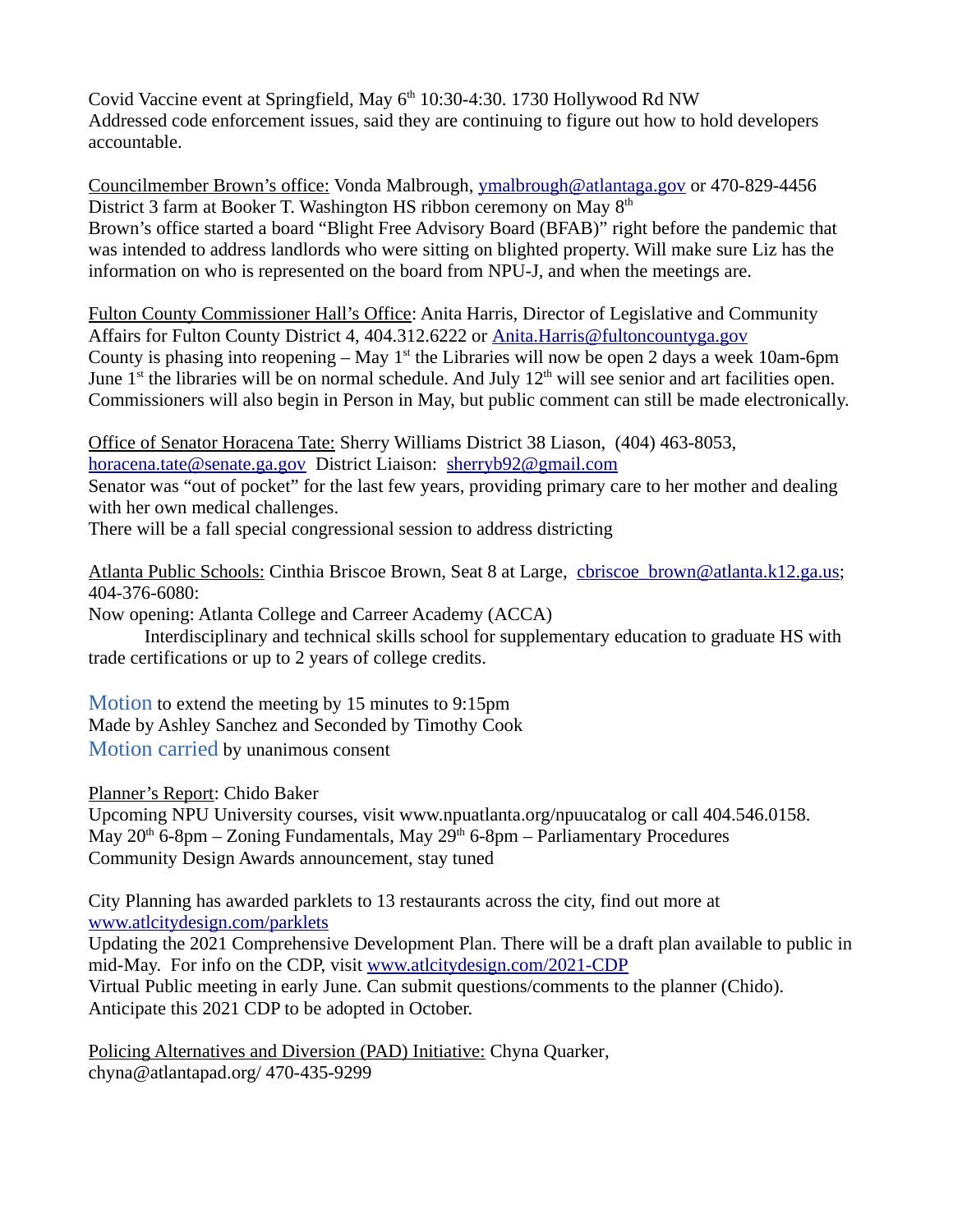Covid Vaccine event at Springfield, May 6<sup>th</sup> 10:30-4:30. 1730 Hollywood Rd NW Addressed code enforcement issues, said they are continuing to figure out how to hold developers accountable.

Councilmember Brown's office: Vonda Malbrough, [ymalbrough@atlantaga.gov](mailto:ymalbrough@atlantaga.gov) or 470-829-4456 District 3 farm at Booker T. Washington HS ribbon ceremony on May  $8<sup>th</sup>$ Brown's office started a board "Blight Free Advisory Board (BFAB)" right before the pandemic that was intended to address landlords who were sitting on blighted property. Will make sure Liz has the information on who is represented on the board from NPU-J, and when the meetings are.

Fulton County Commissioner Hall's Office: Anita Harris, Director of Legislative and Community Affairs for Fulton County District 4, 404.312.6222 or [Anita.Harris@fultoncountyga.gov](mailto:Anita.Harris@fultoncountyga.gov) County is phasing into reopening – May  $1<sup>st</sup>$  the Libraries will now be open 2 days a week 10am-6pm June 1<sup>st</sup> the libraries will be on normal schedule. And July 12<sup>th</sup> will see senior and art facilities open. Commissioners will also begin in Person in May, but public comment can still be made electronically.

Office of Senator Horacena Tate: Sherry Williams District 38 Liason, (404) 463-8053, [horacena.tate@senate.ga.gov](mailto:horacena.tate@senate.ga.gov) District Liaison: [sherryb92@gmail.com](mailto:sherryb92@gmail.com)

Senator was "out of pocket" for the last few years, providing primary care to her mother and dealing with her own medical challenges.

There will be a fall special congressional session to address districting

Atlanta Public Schools: Cinthia Briscoe Brown, Seat 8 at Large, cbriscoe brown@atlanta.k12.ga.us; 404-376-6080:

Now opening: Atlanta College and Carreer Academy (ACCA)

Interdisciplinary and technical skills school for supplementary education to graduate HS with trade certifications or up to 2 years of college credits.

Motion to extend the meeting by 15 minutes to 9:15pm Made by Ashley Sanchez and Seconded by Timothy Cook Motion carried by unanimous consent

Planner's Report: Chido Baker

Upcoming NPU University courses, visit www.npuatlanta.org/npuucatalog or call 404.546.0158. May  $20<sup>th</sup>$  6-8pm – Zoning Fundamentals, May  $29<sup>th</sup>$  6-8pm – Parliamentary Procedures Community Design Awards announcement, stay tuned

City Planning has awarded parklets to 13 restaurants across the city, find out more at [www.atlcitydesign.com/parklets](http://www.atlcitydesign.com/parklets)

Updating the 2021 Comprehensive Development Plan. There will be a draft plan available to public in mid-May. For info on the CDP, visit [www.atlcitydesign.com/2021-CDP](http://www.atlcitydesign.com/2021-CDP) Virtual Public meeting in early June. Can submit questions/comments to the planner (Chido). Anticipate this 2021 CDP to be adopted in October.

Policing Alternatives and Diversion (PAD) Initiative: Chyna Quarker, chyna@atlantapad.org/ 470-435-9299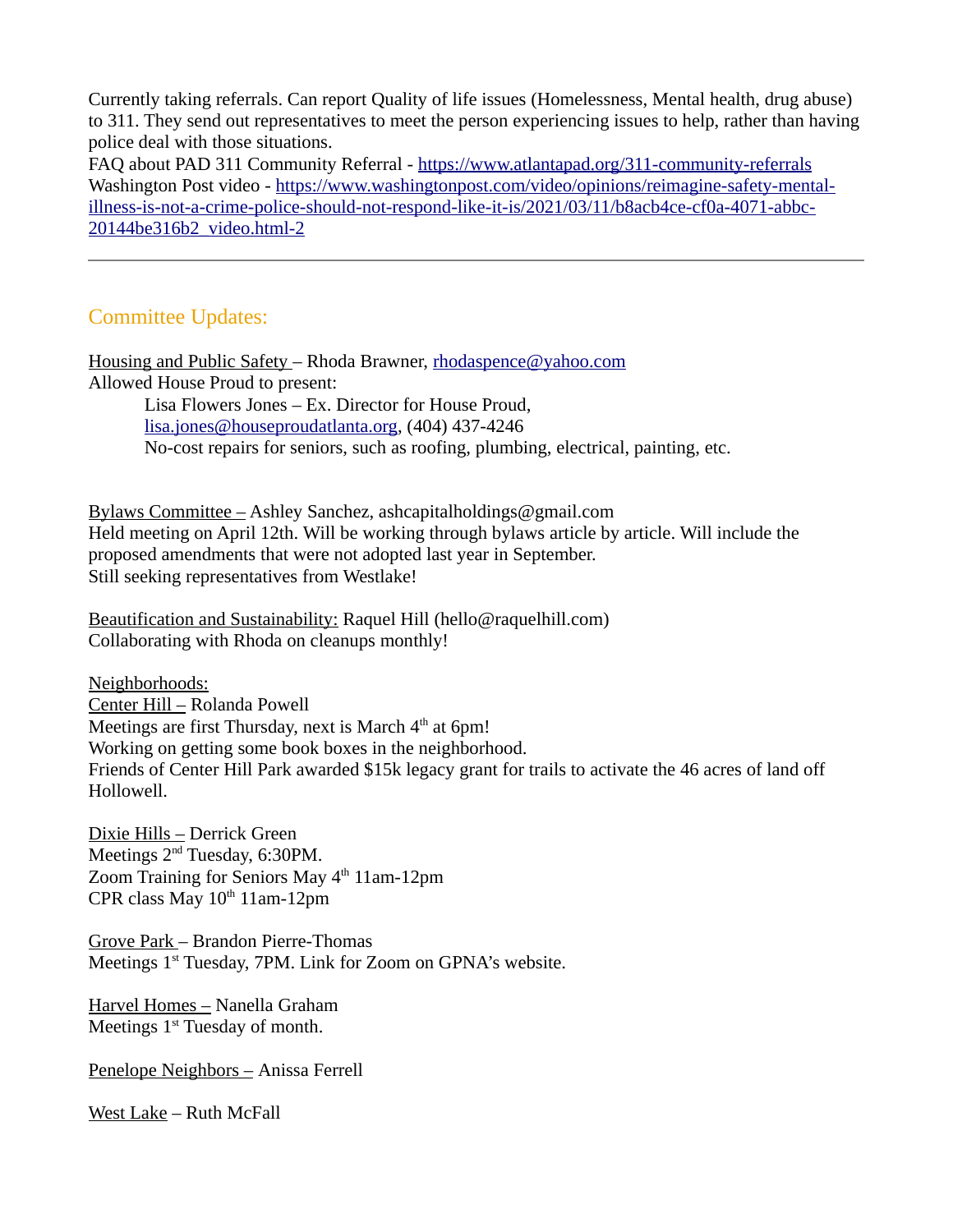Currently taking referrals. Can report Quality of life issues (Homelessness, Mental health, drug abuse) to 311. They send out representatives to meet the person experiencing issues to help, rather than having police deal with those situations.

FAQ about PAD 311 Community Referral - <https://www.atlantapad.org/311-community-referrals> Washington Post video - [https://www.washingtonpost.com/video/opinions/reimagine-safety-mental](https://www.washingtonpost.com/video/opinions/reimagine-safety-mental-illness-is-not-a-crime-police-should-not-respond-like-it-is/2021/03/11/b8acb4ce-cf0a-4071-abbc-20144be316b2_video.html-2)[illness-is-not-a-crime-police-should-not-respond-like-it-is/2021/03/11/b8acb4ce-cf0a-4071-abbc-](https://www.washingtonpost.com/video/opinions/reimagine-safety-mental-illness-is-not-a-crime-police-should-not-respond-like-it-is/2021/03/11/b8acb4ce-cf0a-4071-abbc-20144be316b2_video.html-2)[20144be316b2\\_video.html-2](https://www.washingtonpost.com/video/opinions/reimagine-safety-mental-illness-is-not-a-crime-police-should-not-respond-like-it-is/2021/03/11/b8acb4ce-cf0a-4071-abbc-20144be316b2_video.html-2)

## Committee Updates:

Housing and Public Safety – Rhoda Brawner, [rhodaspence@yahoo.com](mailto:rhodaspence@yahoo.com) Allowed House Proud to present:

> Lisa Flowers Jones – Ex. Director for House Proud, [lisa.jones@houseproudatlanta.org,](mailto:lisa.jones@houseproudatlanta.org) (404) 437-4246 No-cost repairs for seniors, such as roofing, plumbing, electrical, painting, etc.

Bylaws Committee – Ashley Sanchez, ashcapitalholdings@gmail.com Held meeting on April 12th. Will be working through bylaws article by article. Will include the proposed amendments that were not adopted last year in September. Still seeking representatives from Westlake!

Beautification and Sustainability: Raquel Hill (hello@raquelhill.com) Collaborating with Rhoda on cleanups monthly!

Neighborhoods: Center Hill – Rolanda Powell Meetings are first Thursday, next is March  $4<sup>th</sup>$  at 6pm! Working on getting some book boxes in the neighborhood. Friends of Center Hill Park awarded \$15k legacy grant for trails to activate the 46 acres of land off Hollowell.

Dixie Hills – Derrick Green Meetings  $2<sup>nd</sup>$  Tuesday, 6:30PM. Zoom Training for Seniors May  $4<sup>th</sup> 11$ am-12pm CPR class May  $10^{th}$  11am-12pm

Grove Park – Brandon Pierre-Thomas Meetings 1<sup>st</sup> Tuesday, 7PM. Link for Zoom on GPNA's website.

Harvel Homes – Nanella Graham Meetings  $1<sup>st</sup>$  Tuesday of month.

Penelope Neighbors – Anissa Ferrell

West Lake – Ruth McFall